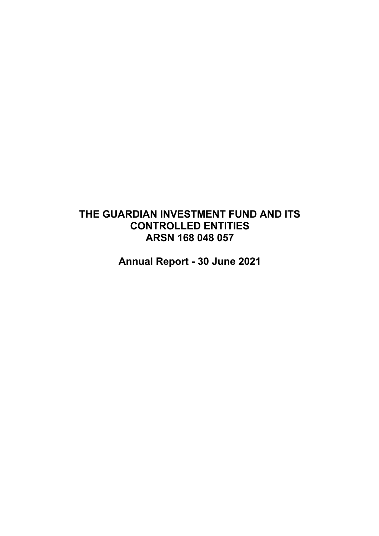**Annual Report - 30 June 2021**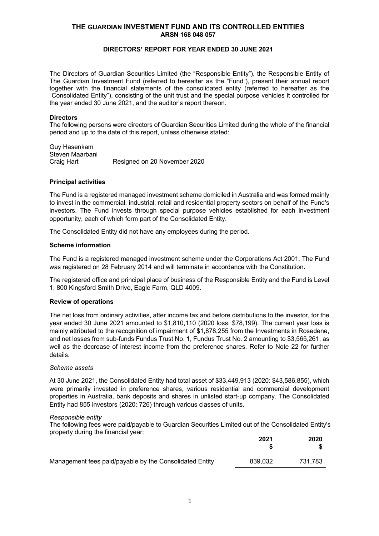## **DIRECTORS' REPORT FOR YEAR ENDED 30 JUNE 2021**

The Directors of Guardian Securities Limited (the "Responsible Entity"), the Responsible Entity of The Guardian Investment Fund (referred to hereafter as the "Fund"), present their annual report together with the financial statements of the consolidated entity (referred to hereafter as the "Consolidated Entity"), consisting of the unit trust and the special purpose vehicles it controlled for the year ended 30 June 2021, and the auditor's report thereon.

### **Directors**

The following persons were directors of Guardian Securities Limited during the whole of the financial period and up to the date of this report, unless otherwise stated:

Guy Hasenkam Steven Maarbani Craig Hart Resigned on 20 November 2020

### **Principal activities**

The Fund is a registered managed investment scheme domiciled in Australia and was formed mainly to invest in the commercial, industrial, retail and residential property sectors on behalf of the Fund's investors. The Fund invests through special purpose vehicles established for each investment opportunity, each of which form part of the Consolidated Entity.

The Consolidated Entity did not have any employees during the period.

### **Scheme information**

The Fund is a registered managed investment scheme under the Corporations Act 2001. The Fund was registered on 28 February 2014 and will terminate in accordance with the Constitution**.**

The registered office and principal place of business of the Responsible Entity and the Fund is Level 1, 800 Kingsford Smith Drive, Eagle Farm, QLD 4009.

### **Review of operations**

The net loss from ordinary activities, after income tax and before distributions to the investor, for the year ended 30 June 2021 amounted to \$1,810,110 (2020 loss: \$78,199). The current year loss is mainly attributed to the recognition of impairment of \$1,878,255 from the Investments in Rosedene, and net losses from sub-funds Fundus Trust No. 1, Fundus Trust No. 2 amounting to \$3,565,261, as well as the decrease of interest income from the preference shares. Refer to Note 22 for further details.

### *Scheme assets*

At 30 June 2021, the Consolidated Entity had total asset of \$33,449,913 (2020: \$43,586,855), which were primarily invested in preference shares, various residential and commercial development properties in Australia, bank deposits and shares in unlisted start-up company. The Consolidated Entity had 855 investors (2020: 726) through various classes of units.

### *Responsible entity*

The following fees were paid/payable to Guardian Securities Limited out of the Consolidated Entity's property during the financial year:

|                                                         | 2021    | 2020    |
|---------------------------------------------------------|---------|---------|
| Management fees paid/payable by the Consolidated Entity | 839.032 | 731.783 |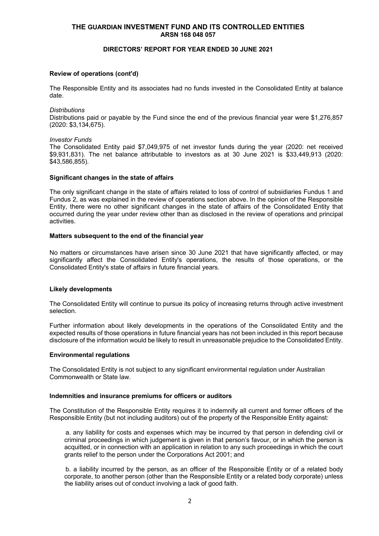### **DIRECTORS' REPORT FOR YEAR ENDED 30 JUNE 2021**

### **Review of operations (cont'd)**

The Responsible Entity and its associates had no funds invested in the Consolidated Entity at balance date.

*Distributions*

Distributions paid or payable by the Fund since the end of the previous financial year were \$1,276,857 (2020: \$3,134,675).

### *Investor Funds*

The Consolidated Entity paid \$7,049,975 of net investor funds during the year (2020: net received \$9,931,831). The net balance attributable to investors as at 30 June 2021 is \$33,449,913 (2020: \$43,586,855).

### **Significant changes in the state of affairs**

The only significant change in the state of affairs related to loss of control of subsidiaries Fundus 1 and Fundus 2, as was explained in the review of operations section above. In the opinion of the Responsible Entity, there were no other significant changes in the state of affairs of the Consolidated Entity that occurred during the year under review other than as disclosed in the review of operations and principal activities.

### **Matters subsequent to the end of the financial year**

No matters or circumstances have arisen since 30 June 2021 that have significantly affected, or may significantly affect the Consolidated Entity's operations, the results of those operations, or the Consolidated Entity's state of affairs in future financial years.

### **Likely developments**

The Consolidated Entity will continue to pursue its policy of increasing returns through active investment selection.

Further information about likely developments in the operations of the Consolidated Entity and the expected results of those operations in future financial years has not been included in this report because disclosure of the information would be likely to result in unreasonable prejudice to the Consolidated Entity.

### **Environmental regulations**

The Consolidated Entity is not subject to any significant environmental regulation under Australian Commonwealth or State law.

### **Indemnities and insurance premiums for officers or auditors**

The Constitution of the Responsible Entity requires it to indemnify all current and former officers of the Responsible Entity (but not including auditors) out of the property of the Responsible Entity against:

a. any liability for costs and expenses which may be incurred by that person in defending civil or criminal proceedings in which judgement is given in that person's favour, or in which the person is acquitted, or in connection with an application in relation to any such proceedings in which the court grants relief to the person under the Corporations Act 2001; and

b. a liability incurred by the person, as an officer of the Responsible Entity or of a related body corporate, to another person (other than the Responsible Entity or a related body corporate) unless the liability arises out of conduct involving a lack of good faith.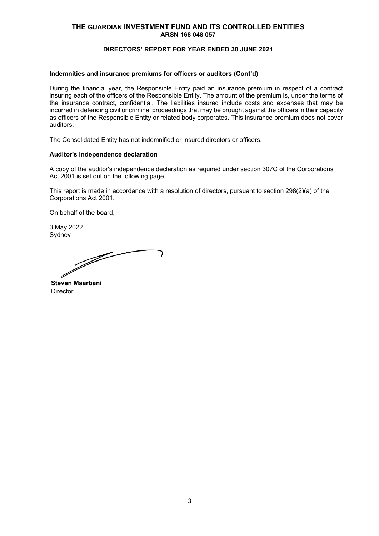# **DIRECTORS' REPORT FOR YEAR ENDED 30 JUNE 2021**

#### **Indemnities and insurance premiums for officers or auditors (Cont'd)**

During the financial year, the Responsible Entity paid an insurance premium in respect of a contract insuring each of the officers of the Responsible Entity. The amount of the premium is, under the terms of the insurance contract, confidential. The liabilities insured include costs and expenses that may be incurred in defending civil or criminal proceedings that may be brought against the officers in their capacity as officers of the Responsible Entity or related body corporates. This insurance premium does not cover auditors.

The Consolidated Entity has not indemnified or insured directors or officers.

### **Auditor's independence declaration**

A copy of the auditor's independence declaration as required under section 307C of the Corporations Act 2001 is set out on the following page.

This report is made in accordance with a resolution of directors, pursuant to section 298(2)(a) of the Corporations Act 2001.

On behalf of the board,

3 May 2022 **Sydney** 

F

**Steven Maarbani Director**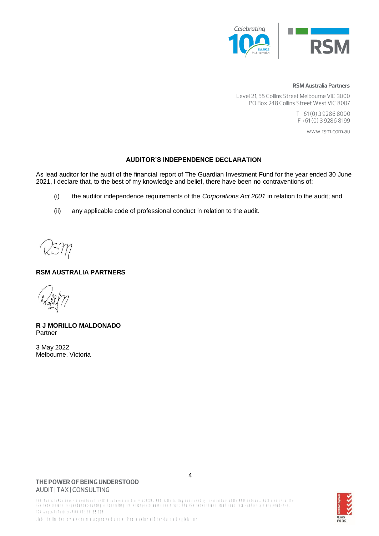

#### **RSM Australia Partners**

Level 21, 55 Collins Street Melbourne VIC 3000 PO Box 248 Collins Street West VIC 8007

> T+61(0) 392868000  $F + 61(0)$  3 9286 8199

> > www.rsm.com.au

### **AUDITOR'S INDEPENDENCE DECLARATION**

As lead auditor for the audit of the financial report of The Guardian Investment Fund for the year ended 30 June 2021, I declare that, to the best of my knowledge and belief, there have been no contraventions of:

- (i) the auditor independence requirements of the *Corporations Act 2001* in relation to the audit; and
- (ii) any applicable code of professional conduct in relation to the audit.

## **RSM AUSTRALIA PARTNERS**

**R J MORILLO MALDONADO** Partner

3 May 2022 Melbourne, Victoria

### THE POWER OF BEING UNDERSTOOD AUDIT | TAX | CONSULTING

RSK AistraliePartners is a member of the RSK network and trades as RSK. RSK is the trading name used by the member effective RSK network. Each member of the<br>RSK network is an independent accounting and consulting firm whic RS M. Australia Partners A BN 36 965 185 036

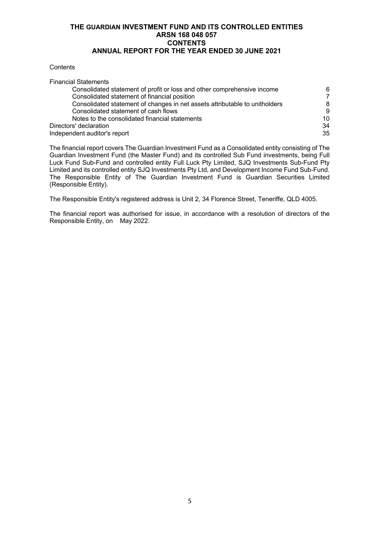## **THE GUARDIAN INVESTMENT FUND AND ITS CONTROLLED ENTITIES ARSN 168 048 057 CONTENTS ANNUAL REPORT FOR THE YEAR ENDED 30 JUNE 2021**

#### **Contents**

| 6  |
|----|
| 7  |
| 8  |
| 9  |
| 10 |
| 34 |
| 35 |
|    |

The financial report covers The Guardian Investment Fund as a Consolidated entity consisting of The Guardian Investment Fund (the Master Fund) and its controlled Sub Fund investments, being Full Luck Fund Sub-Fund and controlled entity Full Luck Pty Limited, SJQ Investments Sub-Fund Pty Limited and its controlled entity SJQ Investments Pty Ltd, and Development Income Fund Sub-Fund. The Responsible Entity of The Guardian Investment Fund is Guardian Securities Limited (Responsible Entity).

The Responsible Entity's registered address is Unit 2, 34 Florence Street, Teneriffe, QLD 4005.

The financial report was authorised for issue, in accordance with a resolution of directors of the Responsible Entity, on May 2022.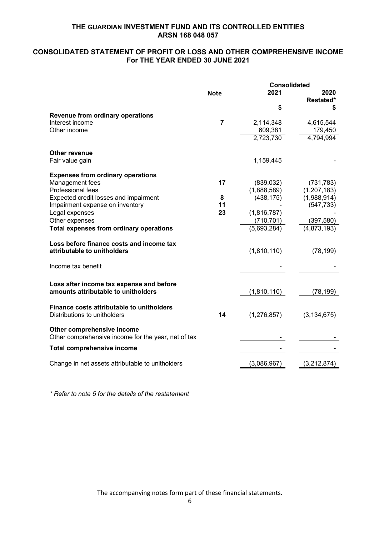# **CONSOLIDATED STATEMENT OF PROFIT OR LOSS AND OTHER COMPREHENSIVE INCOME For THE YEAR ENDED 30 JUNE 2021**

|                                                     |                | <b>Consolidated</b> |               |
|-----------------------------------------------------|----------------|---------------------|---------------|
|                                                     | <b>Note</b>    | 2021                | 2020          |
|                                                     |                |                     | Restated*     |
|                                                     |                | \$                  | S             |
| <b>Revenue from ordinary operations</b>             |                |                     |               |
| Interest income                                     | $\overline{7}$ | 2,114,348           | 4,615,544     |
| Other income                                        |                | 609,381             | 179,450       |
|                                                     |                | 2,723,730           | 4,794,994     |
|                                                     |                |                     |               |
| <b>Other revenue</b>                                |                |                     |               |
| Fair value gain                                     |                | 1,159,445           |               |
| <b>Expenses from ordinary operations</b>            |                |                     |               |
| Management fees                                     | 17             | (839,032)           | (731, 783)    |
| <b>Professional fees</b>                            |                | (1,888,589)         | (1, 207, 183) |
| Expected credit losses and impairment               | 8              | (438, 175)          | (1,988,914)   |
| Impairment expense on inventory                     | 11             |                     | (547, 733)    |
| Legal expenses                                      | 23             | (1,816,787)         |               |
| Other expenses                                      |                | (710, 701)          | (397, 580)    |
| <b>Total expenses from ordinary operations</b>      |                | (5,693,284)         | (4,873,193)   |
| Loss before finance costs and income tax            |                |                     |               |
| attributable to unitholders                         |                | (1,810,110)         | (78, 199)     |
|                                                     |                |                     |               |
| Income tax benefit                                  |                |                     |               |
|                                                     |                |                     |               |
| Loss after income tax expense and before            |                |                     |               |
| amounts attributable to unitholders                 |                | (1,810,110)         | (78, 199)     |
|                                                     |                |                     |               |
| <b>Finance costs attributable to unitholders</b>    |                |                     |               |
| Distributions to unitholders                        | 14             | (1,276,857)         | (3, 134, 675) |
|                                                     |                |                     |               |
| Other comprehensive income                          |                |                     |               |
| Other comprehensive income for the year, net of tax |                |                     |               |
| <b>Total comprehensive income</b>                   |                |                     |               |
|                                                     |                |                     |               |
| Change in net assets attributable to unitholders    |                | (3,086,967)         | (3,212,874)   |
|                                                     |                |                     |               |

*\* Refer to note 5 for the details of the restatement*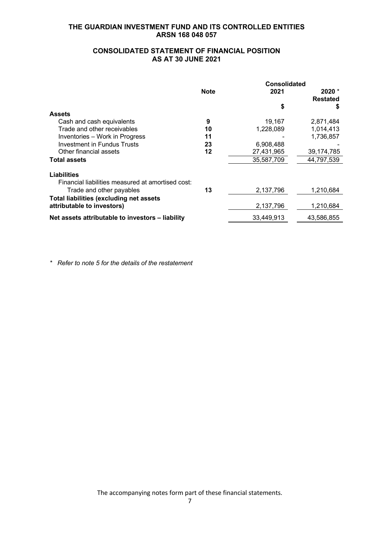## **CONSOLIDATED STATEMENT OF FINANCIAL POSITION AS AT 30 JUNE 2021**

|                                                   | <b>Consolidated</b> |            |                      |
|---------------------------------------------------|---------------------|------------|----------------------|
|                                                   | <b>Note</b>         | 2021       | 2020 *               |
|                                                   |                     | \$         | <b>Restated</b><br>2 |
| <b>Assets</b>                                     |                     |            |                      |
| Cash and cash equivalents                         | 9                   | 19,167     | 2,871,484            |
| Trade and other receivables                       | 10                  | 1,228,089  | 1,014,413            |
| Inventories - Work in Progress                    | 11                  |            | 1,736,857            |
| <b>Investment in Fundus Trusts</b>                | 23                  | 6,908,488  |                      |
| Other financial assets                            | 12                  | 27,431,965 | 39, 174, 785         |
| <b>Total assets</b>                               |                     | 35,587,709 | 44,797,539           |
| <b>Liabilities</b>                                |                     |            |                      |
| Financial liabilities measured at amortised cost: |                     |            |                      |
| Trade and other payables                          | 13                  | 2,137,796  | 1,210,684            |
| <b>Total liabilities (excluding net assets)</b>   |                     |            |                      |
| attributable to investors)                        |                     | 2,137,796  | 1,210,684            |
| Net assets attributable to investors - liability  |                     | 33,449,913 | 43,586,855           |

*\* Refer to note 5 for the details of the restatement*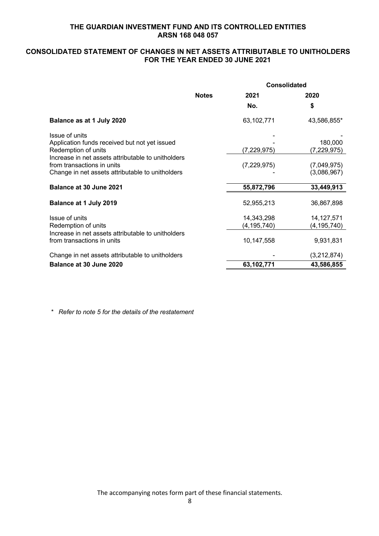# **CONSOLIDATED STATEMENT OF CHANGES IN NET ASSETS ATTRIBUTABLE TO UNITHOLDERS FOR THE YEAR ENDED 30 JUNE 2021**

|                                                                                                                                      |              | <b>Consolidated</b>         |                               |  |
|--------------------------------------------------------------------------------------------------------------------------------------|--------------|-----------------------------|-------------------------------|--|
|                                                                                                                                      | <b>Notes</b> | 2021                        | 2020                          |  |
|                                                                                                                                      |              | No.                         | \$                            |  |
| Balance as at 1 July 2020                                                                                                            |              | 63,102,771                  | 43,586,855*                   |  |
| Issue of units<br>Application funds received but not yet issued<br>Redemption of units                                               |              | (7, 229, 975)               | 180,000<br>(7,229,975)        |  |
| Increase in net assets attributable to unitholders<br>from transactions in units<br>Change in net assets attributable to unitholders |              | (7,229,975)                 | (7,049,975)<br>(3,086,967)    |  |
| <b>Balance at 30 June 2021</b>                                                                                                       |              | 55,872,796                  | 33,449,913                    |  |
| <b>Balance at 1 July 2019</b>                                                                                                        |              | 52,955,213                  | 36,867,898                    |  |
| Issue of units<br>Redemption of units                                                                                                |              | 14,343,298<br>(4, 195, 740) | 14, 127, 571<br>(4, 195, 740) |  |
| Increase in net assets attributable to unitholders<br>from transactions in units                                                     |              | 10,147,558                  | 9,931,831                     |  |
| Change in net assets attributable to unitholders                                                                                     |              |                             | (3,212,874)                   |  |
| Balance at 30 June 2020                                                                                                              |              | 63,102,771                  | 43,586,855                    |  |

*\* Refer to note 5 for the details of the restatement*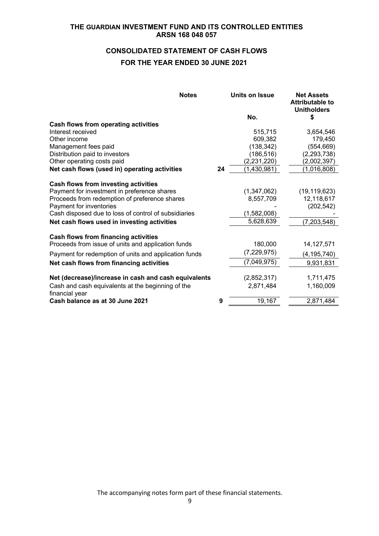# **CONSOLIDATED STATEMENT OF CASH FLOWS**

# **FOR THE YEAR ENDED 30 JUNE 2021**

| <b>Notes</b>                                                        |    | Units on Issue | <b>Net Assets</b><br><b>Attributable to</b><br><b>Unitholders</b> |
|---------------------------------------------------------------------|----|----------------|-------------------------------------------------------------------|
|                                                                     |    | No.            | \$                                                                |
| <b>Cash flows from operating activities</b>                         |    |                |                                                                   |
| Interest received                                                   |    | 515,715        | 3,654,546                                                         |
| Other income                                                        |    | 609,382        | 179,450                                                           |
| Management fees paid                                                |    | (138, 342)     | (554, 669)                                                        |
| Distribution paid to investors                                      |    | (186, 516)     | (2, 293, 738)                                                     |
| Other operating costs paid                                          |    | (2,231,220)    | (2,002,397)                                                       |
| Net cash flows (used in) operating activities                       | 24 | (1,430,981)    | (1,016,808)                                                       |
| Cash flows from investing activities                                |    |                |                                                                   |
| Payment for investment in preference shares                         |    | (1,347,062)    | (19, 119, 623)                                                    |
| Proceeds from redemption of preference shares                       |    | 8,557,709      | 12,118,617                                                        |
| Payment for inventories                                             |    |                | (202, 542)                                                        |
| Cash disposed due to loss of control of subsidiaries                |    | (1,582,008)    |                                                                   |
| Net cash flows used in investing activities                         |    | 5,628,639      | (7,203,548)                                                       |
| <b>Cash flows from financing activities</b>                         |    |                |                                                                   |
| Proceeds from issue of units and application funds                  |    | 180,000        | 14,127,571                                                        |
| Payment for redemption of units and application funds               |    | (7, 229, 975)  | (4, 195, 740)                                                     |
| Net cash flows from financing activities                            |    | (7,049,975)    | 9,931,831                                                         |
| Net (decrease)/increase in cash and cash equivalents                |    | (2,852,317)    | 1,711,475                                                         |
| Cash and cash equivalents at the beginning of the<br>financial year |    | 2,871,484      | 1,160,009                                                         |
| Cash balance as at 30 June 2021                                     | 9  | 19,167         | 2,871,484                                                         |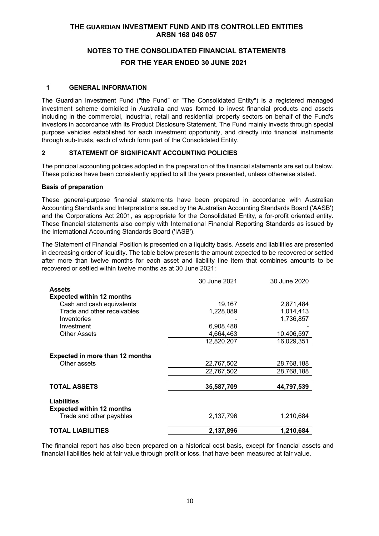# **NOTES TO THE CONSOLIDATED FINANCIAL STATEMENTS FOR THE YEAR ENDED 30 JUNE 2021**

## **1 GENERAL INFORMATION**

The Guardian Investment Fund ("the Fund" or "The Consolidated Entity") is a registered managed investment scheme domiciled in Australia and was formed to invest financial products and assets including in the commercial, industrial, retail and residential property sectors on behalf of the Fund's investors in accordance with its Product Disclosure Statement. The Fund mainly invests through special purpose vehicles established for each investment opportunity, and directly into financial instruments through sub-trusts, each of which form part of the Consolidated Entity.

## **2 STATEMENT OF SIGNIFICANT ACCOUNTING POLICIES**

The principal accounting policies adopted in the preparation of the financial statements are set out below. These policies have been consistently applied to all the years presented, unless otherwise stated.

## **Basis of preparation**

These general-purpose financial statements have been prepared in accordance with Australian Accounting Standards and Interpretations issued by the Australian Accounting Standards Board ('AASB') and the Corporations Act 2001, as appropriate for the Consolidated Entity, a for-profit oriented entity. These financial statements also comply with International Financial Reporting Standards as issued by the International Accounting Standards Board ('IASB').

The Statement of Financial Position is presented on a liquidity basis. Assets and liabilities are presented in decreasing order of liquidity. The table below presents the amount expected to be recovered or settled after more than twelve months for each asset and liability line item that combines amounts to be recovered or settled within twelve months as at 30 June 2021:

|                                                 | 30 June 2021 | 30 June 2020 |
|-------------------------------------------------|--------------|--------------|
| <b>Assets</b>                                   |              |              |
| <b>Expected within 12 months</b>                |              |              |
| Cash and cash equivalents                       | 19,167       | 2,871,484    |
| Trade and other receivables                     | 1,228,089    | 1,014,413    |
| Inventories                                     |              | 1,736,857    |
| Investment                                      | 6,908,488    |              |
| <b>Other Assets</b>                             | 4,664,463    | 10,406,597   |
|                                                 | 12,820,207   | 16,029,351   |
| <b>Expected in more than 12 months</b>          |              |              |
| Other assets                                    | 22,767,502   | 28,768,188   |
|                                                 | 22,767,502   | 28,768,188   |
| <b>TOTAL ASSETS</b>                             | 35,587,709   | 44,797,539   |
| Liabilities<br><b>Expected within 12 months</b> |              |              |
| Trade and other payables                        | 2,137,796    | 1,210,684    |
| <b>TOTAL LIABILITIES</b>                        | 2,137,896    | 1,210,684    |

The financial report has also been prepared on a historical cost basis, except for financial assets and financial liabilities held at fair value through profit or loss, that have been measured at fair value.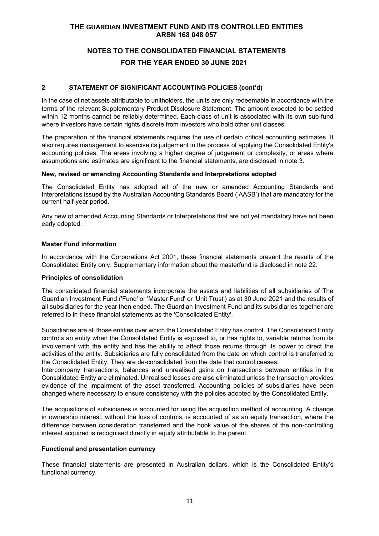# **NOTES TO THE CONSOLIDATED FINANCIAL STATEMENTS FOR THE YEAR ENDED 30 JUNE 2021**

## **2 STATEMENT OF SIGNIFICANT ACCOUNTING POLICIES (cont'd)**

In the case of net assets attributable to unitholders, the units are only redeemable in accordance with the terms of the relevant Supplementary Product Disclosure Statement. The amount expected to be settled within 12 months cannot be reliably determined. Each class of unit is associated with its own sub-fund where investors have certain rights discrete from investors who hold other unit classes.

The preparation of the financial statements requires the use of certain critical accounting estimates. It also requires management to exercise its judgement in the process of applying the Consolidated Entity's accounting policies. The areas involving a higher degree of judgement or complexity, or areas where assumptions and estimates are significant to the financial statements, are disclosed in note 3.

### **New, revised or amending Accounting Standards and Interpretations adopted**

The Consolidated Entity has adopted all of the new or amended Accounting Standards and Interpretations issued by the Australian Accounting Standards Board ('AASB') that are mandatory for the current half-year period.

Any new of amended Accounting Standards or Interpretations that are not yet mandatory have not been early adopted.

### **Master Fund information**

In accordance with the Corporations Act 2001, these financial statements present the results of the Consolidated Entity only. Supplementary information about the masterfund is disclosed in note 22.

### **Principles of consolidation**

The consolidated financial statements incorporate the assets and liabilities of all subsidiaries of The Guardian Investment Fund ('Fund' or 'Master Fund' or 'Unit Trust') as at 30 June 2021 and the results of all subsidiaries for the year then ended. The Guardian Investment Fund and its subsidiaries together are referred to in these financial statements as the 'Consolidated Entity'.

Subsidiaries are all those entities over which the Consolidated Entity has control. The Consolidated Entity controls an entity when the Consolidated Entity is exposed to, or has rights to, variable returns from its involvement with the entity and has the ability to affect those returns through its power to direct the activities of the entity. Subsidiaries are fully consolidated from the date on which control is transferred to the Consolidated Entity. They are de-consolidated from the date that control ceases.

Intercompany transactions, balances and unrealised gains on transactions between entities in the Consolidated Entity are eliminated. Unrealised losses are also eliminated unless the transaction provides evidence of the impairment of the asset transferred. Accounting policies of subsidiaries have been changed where necessary to ensure consistency with the policies adopted by the Consolidated Entity.

The acquisitions of subsidiaries is accounted for using the acquisition method of accounting. A change in ownership interest, without the loss of controls, is accounted of as an equity transaction, where the difference between consideration transferred and the book value of the shares of the non-controlling interest acquired is recognised directly in equity attributable to the parent.

## **Functional and presentation currency**

These financial statements are presented in Australian dollars, which is the Consolidated Entity's functional currency.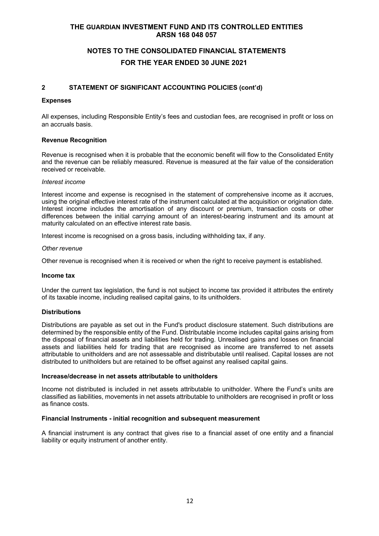# **NOTES TO THE CONSOLIDATED FINANCIAL STATEMENTS FOR THE YEAR ENDED 30 JUNE 2021**

## **2 STATEMENT OF SIGNIFICANT ACCOUNTING POLICIES (cont'd)**

### **Expenses**

All expenses, including Responsible Entity's fees and custodian fees, are recognised in profit or loss on an accruals basis.

## **Revenue Recognition**

Revenue is recognised when it is probable that the economic benefit will flow to the Consolidated Entity and the revenue can be reliably measured. Revenue is measured at the fair value of the consideration received or receivable.

### *Interest income*

Interest income and expense is recognised in the statement of comprehensive income as it accrues, using the original effective interest rate of the instrument calculated at the acquisition or origination date. Interest income includes the amortisation of any discount or premium, transaction costs or other differences between the initial carrying amount of an interest-bearing instrument and its amount at maturity calculated on an effective interest rate basis.

Interest income is recognised on a gross basis, including withholding tax, if any.

### *Other revenue*

Other revenue is recognised when it is received or when the right to receive payment is established.

## **Income tax**

Under the current tax legislation, the fund is not subject to income tax provided it attributes the entirety of its taxable income, including realised capital gains, to its unitholders.

## **Distributions**

Distributions are payable as set out in the Fund's product disclosure statement. Such distributions are determined by the responsible entity of the Fund. Distributable income includes capital gains arising from the disposal of financial assets and liabilities held for trading. Unrealised gains and losses on financial assets and liabilities held for trading that are recognised as income are transferred to net assets attributable to unitholders and are not assessable and distributable until realised. Capital losses are not distributed to unitholders but are retained to be offset against any realised capital gains.

## **Increase/decrease in net assets attributable to unitholders**

Income not distributed is included in net assets attributable to unitholder. Where the Fund's units are classified as liabilities, movements in net assets attributable to unitholders are recognised in profit or loss as finance costs.

## **Financial Instruments - initial recognition and subsequent measurement**

A financial instrument is any contract that gives rise to a financial asset of one entity and a financial liability or equity instrument of another entity.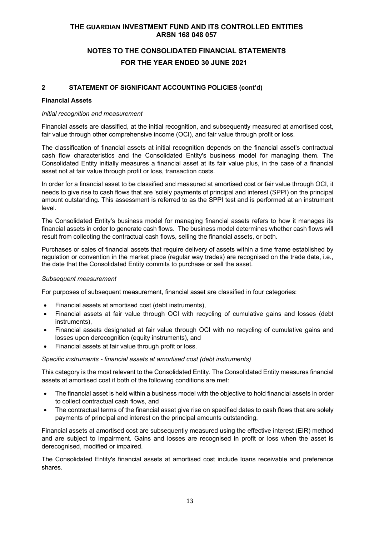# **NOTES TO THE CONSOLIDATED FINANCIAL STATEMENTS FOR THE YEAR ENDED 30 JUNE 2021**

## **2 STATEMENT OF SIGNIFICANT ACCOUNTING POLICIES (cont'd)**

### **Financial Assets**

### *Initial recognition and measurement*

Financial assets are classified, at the initial recognition, and subsequently measured at amortised cost, fair value through other comprehensive income (OCI), and fair value through profit or loss.

The classification of financial assets at initial recognition depends on the financial asset's contractual cash flow characteristics and the Consolidated Entity's business model for managing them. The Consolidated Entity initially measures a financial asset at its fair value plus, in the case of a financial asset not at fair value through profit or loss, transaction costs.

In order for a financial asset to be classified and measured at amortised cost or fair value through OCI, it needs to give rise to cash flows that are 'solely payments of principal and interest (SPPI) on the principal amount outstanding. This assessment is referred to as the SPPI test and is performed at an instrument level.

The Consolidated Entity's business model for managing financial assets refers to how it manages its financial assets in order to generate cash flows. The business model determines whether cash flows will result from collecting the contractual cash flows, selling the financial assets, or both.

Purchases or sales of financial assets that require delivery of assets within a time frame established by regulation or convention in the market place (regular way trades) are recognised on the trade date, i.e., the date that the Consolidated Entity commits to purchase or sell the asset.

## *Subsequent measurement*

For purposes of subsequent measurement, financial asset are classified in four categories:

- Financial assets at amortised cost (debt instruments),
- Financial assets at fair value through OCI with recycling of cumulative gains and losses (debt instruments),
- Financial assets designated at fair value through OCI with no recycling of cumulative gains and losses upon derecognition (equity instruments), and
- Financial assets at fair value through profit or loss.

### *Specific instruments - financial assets at amortised cost (debt instruments)*

This category is the most relevant to the Consolidated Entity. The Consolidated Entity measures financial assets at amortised cost if both of the following conditions are met:

- The financial asset is held within a business model with the objective to hold financial assets in order to collect contractual cash flows, and
- The contractual terms of the financial asset give rise on specified dates to cash flows that are solely payments of principal and interest on the principal amounts outstanding.

Financial assets at amortised cost are subsequently measured using the effective interest (EIR) method and are subject to impairment. Gains and losses are recognised in profit or loss when the asset is derecognised, modified or impaired.

The Consolidated Entity's financial assets at amortised cost include loans receivable and preference shares.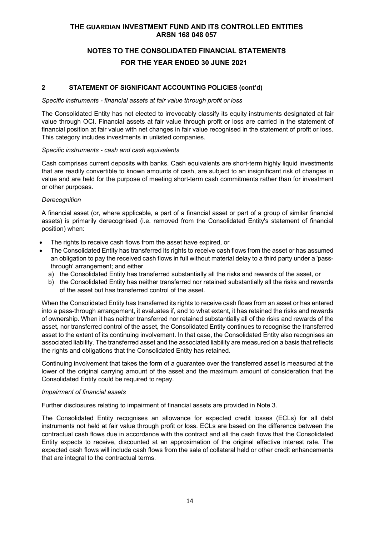# **NOTES TO THE CONSOLIDATED FINANCIAL STATEMENTS FOR THE YEAR ENDED 30 JUNE 2021**

## **2 STATEMENT OF SIGNIFICANT ACCOUNTING POLICIES (cont'd)**

### *Specific instruments - financial assets at fair value through profit or loss*

The Consolidated Entity has not elected to irrevocably classify its equity instruments designated at fair value through OCI. Financial assets at fair value through profit or loss are carried in the statement of financial position at fair value with net changes in fair value recognised in the statement of profit or loss. This category includes investments in unlisted companies.

### *Specific instruments - cash and cash equivalents*

Cash comprises current deposits with banks. Cash equivalents are short-term highly liquid investments that are readily convertible to known amounts of cash, are subject to an insignificant risk of changes in value and are held for the purpose of meeting short-term cash commitments rather than for investment or other purposes.

### *Derecognition*

A financial asset (or, where applicable, a part of a financial asset or part of a group of similar financial assets) is primarily derecognised (i.e. removed from the Consolidated Entity's statement of financial position) when:

- The rights to receive cash flows from the asset have expired, or
- The Consolidated Entity has transferred its rights to receive cash flows from the asset or has assumed an obligation to pay the received cash flows in full without material delay to a third party under a 'passthrough' arrangement; and either
	- a) the Consolidated Entity has transferred substantially all the risks and rewards of the asset, or
	- b) the Consolidated Entity has neither transferred nor retained substantially all the risks and rewards of the asset but has transferred control of the asset.

When the Consolidated Entity has transferred its rights to receive cash flows from an asset or has entered into a pass-through arrangement, it evaluates if, and to what extent, it has retained the risks and rewards of ownership. When it has neither transferred nor retained substantially all of the risks and rewards of the asset, nor transferred control of the asset, the Consolidated Entity continues to recognise the transferred asset to the extent of its continuing involvement. In that case, the Consolidated Entity also recognises an associated liability. The transferred asset and the associated liability are measured on a basis that reflects the rights and obligations that the Consolidated Entity has retained.

Continuing involvement that takes the form of a guarantee over the transferred asset is measured at the lower of the original carrying amount of the asset and the maximum amount of consideration that the Consolidated Entity could be required to repay.

### *Impairment of financial assets*

Further disclosures relating to impairment of financial assets are provided in Note 3.

The Consolidated Entity recognises an allowance for expected credit losses (ECLs) for all debt instruments not held at fair value through profit or loss. ECLs are based on the difference between the contractual cash flows due in accordance with the contract and all the cash flows that the Consolidated Entity expects to receive, discounted at an approximation of the original effective interest rate. The expected cash flows will include cash flows from the sale of collateral held or other credit enhancements that are integral to the contractual terms.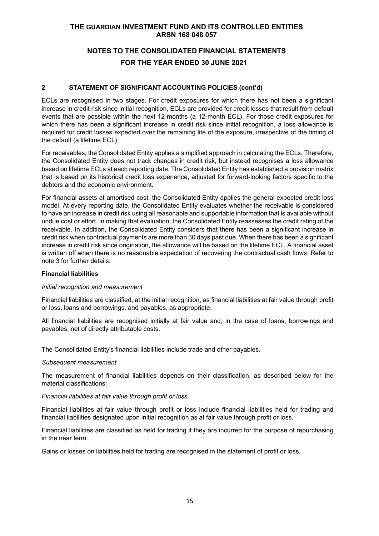# **NOTES TO THE CONSOLIDATED FINANCIAL STATEMENTS FOR THE YEAR ENDED 30 JUNE 2021**

# **2 STATEMENT OF SIGNIFICANT ACCOUNTING POLICIES (cont'd)**

ECLs are recognised in two stages. For credit exposures for which there has not been a significant increase in credit risk since initial recognition, ECLs are provided for credit losses that result from default events that are possible within the next 12-months (a 12-month ECL). For those credit exposures for which there has been a significant increase in credit risk since initial recognition, a loss allowance is required for credit losses expected over the remaining life of the exposure, irrespective of the timing of the default (a lifetime ECL).

For receivables, the Consolidated Entity applies a simplified approach in calculating the ECLs. Therefore, the Consolidated Entity does not track changes in credit risk, but instead recognises a loss allowance based on lifetime ECLs at each reporting date. The Consolidated Entity has established a provision matrix that is based on its historical credit loss experience, adjusted for forward-looking factors specific to the debtors and the economic environment.

For financial assets at amortised cost, the Consolidated Entity applies the general expected credit loss model. At every reporting date, the Consolidated Entity evaluates whether the receivable is considered to have an increase in credit risk using all reasonable and supportable information that is available without undue cost or effort. In making that evaluation, the Consolidated Entity reassesses the credit rating of the receivable. In addition, the Consolidated Entity considers that there has been a significant increase in credit risk when contractual payments are more than 30 days past due. When there has been a significant increase in credit risk since origination, the allowance will be based on the lifetime ECL. A financial asset is written off when there is no reasonable expectation of recovering the contractual cash flows. Refer to note 3 for further details.

## **Financial liabilities**

### *Initial recognition and measurement*

Financial liabilities are classified, at the initial recognition, as financial liabilities at fair value through profit or loss, loans and borrowings, and payables, as appropriate.

All financial liabilities are recognised initially at fair value and, in the case of loans, borrowings and payables, net of directly attributable costs.

The Consolidated Entity's financial liabilities include trade and other payables.

### *Subsequent measurement*

The measurement of financial liabilities depends on their classification, as described below for the material classifications:

### *Financial liabilities at fair value through profit or loss*

Financial liabilities at fair value through profit or loss include financial liabilities held for trading and financial liabilities designated upon initial recognition as at fair value through profit or loss.

Financial liabilities are classified as held for trading if they are incurred for the purpose of repurchasing in the near term.

Gains or losses on liabilities held for trading are recognised in the statement of profit or loss.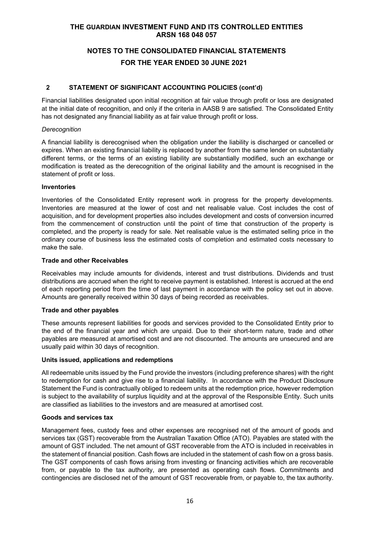# **NOTES TO THE CONSOLIDATED FINANCIAL STATEMENTS FOR THE YEAR ENDED 30 JUNE 2021**

# **2 STATEMENT OF SIGNIFICANT ACCOUNTING POLICIES (cont'd)**

Financial liabilities designated upon initial recognition at fair value through profit or loss are designated at the initial date of recognition, and only if the criteria in AASB 9 are satisfied. The Consolidated Entity has not designated any financial liability as at fair value through profit or loss.

## *Derecognition*

A financial liability is derecognised when the obligation under the liability is discharged or cancelled or expires. When an existing financial liability is replaced by another from the same lender on substantially different terms, or the terms of an existing liability are substantially modified, such an exchange or modification is treated as the derecognition of the original liability and the amount is recognised in the statement of profit or loss.

## **Inventories**

Inventories of the Consolidated Entity represent work in progress for the property developments. Inventories are measured at the lower of cost and net realisable value. Cost includes the cost of acquisition, and for development properties also includes development and costs of conversion incurred from the commencement of construction until the point of time that construction of the property is completed, and the property is ready for sale. Net realisable value is the estimated selling price in the ordinary course of business less the estimated costs of completion and estimated costs necessary to make the sale.

## **Trade and other Receivables**

Receivables may include amounts for dividends, interest and trust distributions. Dividends and trust distributions are accrued when the right to receive payment is established. Interest is accrued at the end of each reporting period from the time of last payment in accordance with the policy set out in above. Amounts are generally received within 30 days of being recorded as receivables.

## **Trade and other payables**

These amounts represent liabilities for goods and services provided to the Consolidated Entity prior to the end of the financial year and which are unpaid. Due to their short-term nature, trade and other payables are measured at amortised cost and are not discounted. The amounts are unsecured and are usually paid within 30 days of recognition.

## **Units issued, applications and redemptions**

All redeemable units issued by the Fund provide the investors (including preference shares) with the right to redemption for cash and give rise to a financial liability. In accordance with the Product Disclosure Statement the Fund is contractually obliged to redeem units at the redemption price, however redemption is subject to the availability of surplus liquidity and at the approval of the Responsible Entity. Such units are classified as liabilities to the investors and are measured at amortised cost.

## **Goods and services tax**

Management fees, custody fees and other expenses are recognised net of the amount of goods and services tax (GST) recoverable from the Australian Taxation Office (ATO). Payables are stated with the amount of GST included. The net amount of GST recoverable from the ATO is included in receivables in the statement of financial position. Cash flows are included in the statement of cash flow on a gross basis. The GST components of cash flows arising from investing or financing activities which are recoverable from, or payable to the tax authority, are presented as operating cash flows. Commitments and contingencies are disclosed net of the amount of GST recoverable from, or payable to, the tax authority.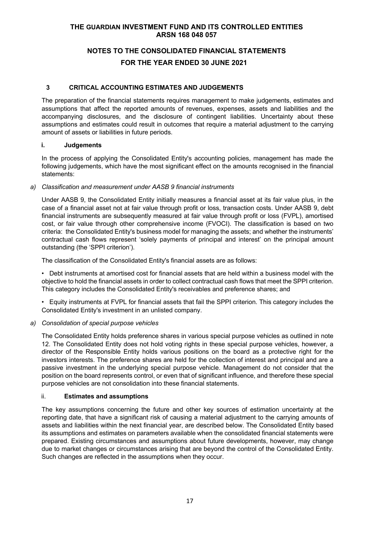# **NOTES TO THE CONSOLIDATED FINANCIAL STATEMENTS FOR THE YEAR ENDED 30 JUNE 2021**

## **3 CRITICAL ACCOUNTING ESTIMATES AND JUDGEMENTS**

The preparation of the financial statements requires management to make judgements, estimates and assumptions that affect the reported amounts of revenues, expenses, assets and liabilities and the accompanying disclosures, and the disclosure of contingent liabilities. Uncertainty about these assumptions and estimates could result in outcomes that require a material adjustment to the carrying amount of assets or liabilities in future periods.

### **i. Judgements**

In the process of applying the Consolidated Entity's accounting policies, management has made the following judgements, which have the most significant effect on the amounts recognised in the financial statements:

## *a) Classification and measurement under AASB 9 financial instruments*

Under AASB 9, the Consolidated Entity initially measures a financial asset at its fair value plus, in the case of a financial asset not at fair value through profit or loss, transaction costs. Under AASB 9, debt financial instruments are subsequently measured at fair value through profit or loss (FVPL), amortised cost, or fair value through other comprehensive income (FVOCI). The classification is based on two criteria: the Consolidated Entity's business model for managing the assets; and whether the instruments' contractual cash flows represent 'solely payments of principal and interest' on the principal amount outstanding (the 'SPPI criterion').

The classification of the Consolidated Entity's financial assets are as follows:

• Debt instruments at amortised cost for financial assets that are held within a business model with the objective to hold the financial assets in order to collect contractual cash flows that meet the SPPI criterion. This category includes the Consolidated Entity's receivables and preference shares; and

• Equity instruments at FVPL for financial assets that fail the SPPI criterion. This category includes the Consolidated Entity's investment in an unlisted company.

## *a) Consolidation of special purpose vehicles*

The Consolidated Entity holds preference shares in various special purpose vehicles as outlined in note 12. The Consolidated Entity does not hold voting rights in these special purpose vehicles, however, a director of the Responsible Entity holds various positions on the board as a protective right for the investors interests. The preference shares are held for the collection of interest and principal and are a passive investment in the underlying special purpose vehicle. Management do not consider that the position on the board represents control, or even that of significant influence, and therefore these special purpose vehicles are not consolidation into these financial statements.

## ii. **Estimates and assumptions**

The key assumptions concerning the future and other key sources of estimation uncertainty at the reporting date, that have a significant risk of causing a material adjustment to the carrying amounts of assets and liabilities within the next financial year, are described below. The Consolidated Entity based its assumptions and estimates on parameters available when the consolidated financial statements were prepared. Existing circumstances and assumptions about future developments, however, may change due to market changes or circumstances arising that are beyond the control of the Consolidated Entity. Such changes are reflected in the assumptions when they occur.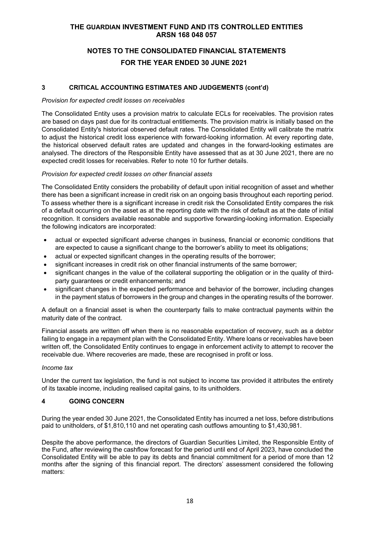# **NOTES TO THE CONSOLIDATED FINANCIAL STATEMENTS FOR THE YEAR ENDED 30 JUNE 2021**

# **3 CRITICAL ACCOUNTING ESTIMATES AND JUDGEMENTS (cont'd)**

### *Provision for expected credit losses on receivables*

The Consolidated Entity uses a provision matrix to calculate ECLs for receivables. The provision rates are based on days past due for its contractual entitlements. The provision matrix is initially based on the Consolidated Entity's historical observed default rates. The Consolidated Entity will calibrate the matrix to adjust the historical credit loss experience with forward-looking information. At every reporting date, the historical observed default rates are updated and changes in the forward-looking estimates are analysed. The directors of the Responsible Entity have assessed that as at 30 June 2021, there are no expected credit losses for receivables. Refer to note 10 for further details.

## *Provision for expected credit losses on other financial assets*

The Consolidated Entity considers the probability of default upon initial recognition of asset and whether there has been a significant increase in credit risk on an ongoing basis throughout each reporting period. To assess whether there is a significant increase in credit risk the Consolidated Entity compares the risk of a default occurring on the asset as at the reporting date with the risk of default as at the date of initial recognition. It considers available reasonable and supportive forwarding-looking information. Especially the following indicators are incorporated:

- actual or expected significant adverse changes in business, financial or economic conditions that are expected to cause a significant change to the borrower's ability to meet its obligations;
- actual or expected significant changes in the operating results of the borrower;
- significant increases in credit risk on other financial instruments of the same borrower;
- significant changes in the value of the collateral supporting the obligation or in the quality of thirdparty guarantees or credit enhancements; and
- significant changes in the expected performance and behavior of the borrower, including changes in the payment status of borrowers in the group and changes in the operating results of the borrower.

A default on a financial asset is when the counterparty fails to make contractual payments within the maturity date of the contract.

Financial assets are written off when there is no reasonable expectation of recovery, such as a debtor failing to engage in a repayment plan with the Consolidated Entity. Where loans or receivables have been written off, the Consolidated Entity continues to engage in enforcement activity to attempt to recover the receivable due. Where recoveries are made, these are recognised in profit or loss.

### *Income tax*

Under the current tax legislation, the fund is not subject to income tax provided it attributes the entirety of its taxable income, including realised capital gains, to its unitholders.

# **4 GOING CONCERN**

During the year ended 30 June 2021, the Consolidated Entity has incurred a net loss, before distributions paid to unitholders, of \$1,810,110 and net operating cash outflows amounting to \$1,430,981.

Despite the above performance, the directors of Guardian Securities Limited, the Responsible Entity of the Fund, after reviewing the cashflow forecast for the period until end of April 2023, have concluded the Consolidated Entity will be able to pay its debts and financial commitment for a period of more than 12 months after the signing of this financial report. The directors' assessment considered the following matters: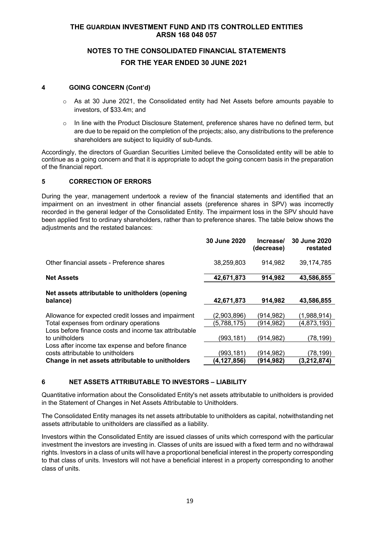# **NOTES TO THE CONSOLIDATED FINANCIAL STATEMENTS FOR THE YEAR ENDED 30 JUNE 2021**

### **4 GOING CONCERN (Cont'd)**

- o As at 30 June 2021, the Consolidated entity had Net Assets before amounts payable to investors, of \$33.4m; and
- o In line with the Product Disclosure Statement, preference shares have no defined term, but are due to be repaid on the completion of the projects; also, any distributions to the preference shareholders are subject to liquidity of sub-funds.

Accordingly, the directors of Guardian Securities Limited believe the Consolidated entity will be able to continue as a going concern and that it is appropriate to adopt the going concern basis in the preparation of the financial report.

### **5 CORRECTION OF ERRORS**

During the year, management undertook a review of the financial statements and identified that an impairment on an investment in other financial assets (preference shares in SPV) was incorrectly recorded in the general ledger of the Consolidated Entity. The impairment loss in the SPV should have been applied first to ordinary shareholders, rather than to preference shares. The table below shows the adjustments and the restated balances:

|                                                                                       | 30 June 2020  | Increase/<br>(decrease) | 30 June 2020<br>restated |
|---------------------------------------------------------------------------------------|---------------|-------------------------|--------------------------|
| Other financial assets - Preference shares                                            | 38,259,803    | 914,982                 | 39,174,785               |
| <b>Net Assets</b>                                                                     | 42,671,873    | 914,982                 | 43,586,855               |
| Net assets attributable to unitholders (opening<br>balance)                           | 42,671,873    | 914,982                 | 43,586,855               |
| Allowance for expected credit losses and impairment                                   | (2,903,896)   | (914, 982)              | (1,988,914)              |
| Total expenses from ordinary operations                                               | (5,788,175)   | (914, 982)              | (4,873,193)              |
| Loss before finance costs and income tax attributable<br>to unitholders               | (993, 181)    | (914, 982)              | (78,199)                 |
| Loss after income tax expense and before finance<br>costs attributable to unitholders | (993,181)     | (914,982)               | (78,199)                 |
| Change in net assets attributable to unitholders                                      | (4, 127, 856) | (914,982)               | (3,212,874)              |

## **6 NET ASSETS ATTRIBUTABLE TO INVESTORS – LIABILITY**

Quantitative information about the Consolidated Entity's net assets attributable to unitholders is provided in the Statement of Changes in Net Assets Attributable to Unitholders.

The Consolidated Entity manages its net assets attributable to unitholders as capital, notwithstanding net assets attributable to unitholders are classified as a liability.

Investors within the Consolidated Entity are issued classes of units which correspond with the particular investment the investors are investing in. Classes of units are issued with a fixed term and no withdrawal rights. Investors in a class of units will have a proportional beneficial interest in the property corresponding to that class of units. Investors will not have a beneficial interest in a property corresponding to another class of units.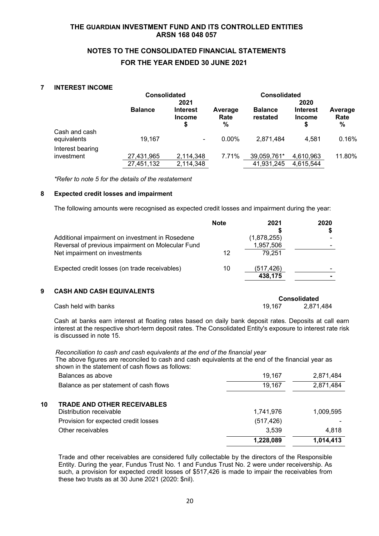# **NOTES TO THE CONSOLIDATED FINANCIAL STATEMENTS FOR THE YEAR ENDED 30 JUNE 2021**

### **7 INTEREST INCOME**

|                                |                | <b>Consolidated</b>                    |                      | <b>Consolidated</b>        |                                        |                      |
|--------------------------------|----------------|----------------------------------------|----------------------|----------------------------|----------------------------------------|----------------------|
|                                |                | 2021                                   |                      |                            | 2020                                   |                      |
|                                | <b>Balance</b> | <b>Interest</b><br><b>Income</b><br>\$ | Average<br>Rate<br>% | <b>Balance</b><br>restated | <b>Interest</b><br><b>Income</b><br>\$ | Average<br>Rate<br>% |
| Cash and cash<br>equivalents   | 19,167         | $\overline{\phantom{a}}$               | $0.00\%$             | 2,871,484                  | 4,581                                  | 0.16%                |
| Interest bearing<br>investment | 27,431,965     | 2,114,348                              | 7.71%                | 39,059,761*                | 4,610,963                              | 11.80%               |
|                                | 27,451,132     | 2,114,348                              |                      | 41,931,245                 | 4,615,544                              |                      |

*\*Refer to note 5 for the details of the restatement*

### **8 Expected credit losses and impairment**

The following amounts were recognised as expected credit losses and impairment during the year:

|                                                   | <b>Note</b> | 2021        | 2020 |
|---------------------------------------------------|-------------|-------------|------|
|                                                   |             |             |      |
| Additional impairment on investment in Rosedene   |             | (1,878,255) |      |
| Reversal of previous impairment on Molecular Fund |             | 1,957,506   |      |
| Net impairment on investments                     | 12          | 79.251      |      |
| Expected credit losses (on trade receivables)     | 10          | (517,426)   |      |
|                                                   |             | 438,175     |      |
|                                                   |             |             |      |

## **9 CASH AND CASH EQUIVALENTS**

| _____________________________ |        | <b>Consolidated</b> |
|-------------------------------|--------|---------------------|
| Cash held with banks          | 19.167 | 2.871.484           |

Cash at banks earn interest at floating rates based on daily bank deposit rates. Deposits at call earn interest at the respective short-term deposit rates. The Consolidated Entity's exposure to interest rate risk is discussed in note 15.

*Reconciliation to cash and cash equivalents at the end of the financial year* The above figures are reconciled to cash and cash equivalents at the end of the financial year as shown in the statement of cash flows as follows:

|    |                                                               | 1,228,089  | 1,014,413 |
|----|---------------------------------------------------------------|------------|-----------|
|    | Other receivables                                             | 3,539      | 4,818     |
|    | Provision for expected credit losses                          | (517, 426) |           |
| 10 | <b>TRADE AND OTHER RECEIVABLES</b><br>Distribution receivable | 1,741,976  | 1,009,595 |
|    | Balance as per statement of cash flows                        | 19,167     | 2,871,484 |
|    | Balances as above                                             | 19,167     | 2,871,484 |
|    |                                                               |            |           |

Trade and other receivables are considered fully collectable by the directors of the Responsible Entity. During the year, Fundus Trust No. 1 and Fundus Trust No. 2 were under receivership. As such, a provision for expected credit losses of \$517,426 is made to impair the receivables from these two trusts as at 30 June 2021 (2020: \$nil).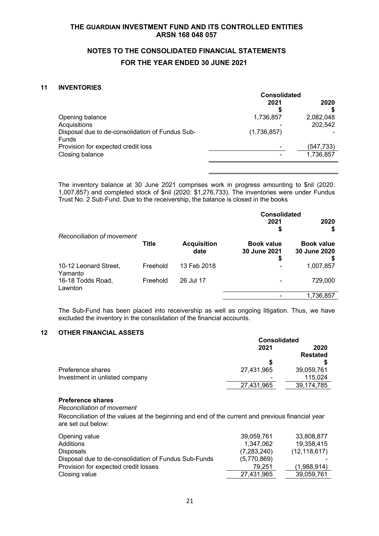# **NOTES TO THE CONSOLIDATED FINANCIAL STATEMENTS FOR THE YEAR ENDED 30 JUNE 2021**

# **11 INVENTORIES**

|                                                 | <b>Consolidated</b> |            |
|-------------------------------------------------|---------------------|------------|
|                                                 | 2021                | 2020       |
|                                                 |                     |            |
| Opening balance                                 | 1,736,857           | 2,082,048  |
| Acquisitions                                    |                     | 202,542    |
| Disposal due to de-consolidation of Fundus Sub- | (1,736,857)         |            |
| <b>Funds</b>                                    |                     |            |
| Provision for expected credit loss              |                     | (547, 733) |
| Closing balance                                 |                     | 1,736,857  |
|                                                 |                     |            |

The inventory balance at 30 June 2021 comprises work in progress amounting to \$nil (2020: 1,007,857) and completed stock of \$nil (2020: \$1,276,733). The inventories were under Fundus Trust No. 2 Sub-Fund. Due to the receivership, the balance is closed in the books

|                                  |              |                            | <b>Consolidated</b>                     |                                   |
|----------------------------------|--------------|----------------------------|-----------------------------------------|-----------------------------------|
|                                  |              |                            | 2021                                    | 2020                              |
|                                  |              |                            | \$                                      | \$                                |
| Reconciliation of movement       | <b>Title</b> | <b>Acquisition</b><br>date | <b>Book value</b><br>30 June 2021<br>\$ | <b>Book value</b><br>30 June 2020 |
| 10-12 Leonard Street,<br>Yamanto | Freehold     | 13 Feb 2018                |                                         | 1,007,857                         |
| 16-18 Todds Road,<br>Lawnton     | Freehold     | 26 Jul 17                  |                                         | 729,000                           |
|                                  |              |                            |                                         | 1,736,857                         |

The Sub-Fund has been placed into receivership as well as ongoing litigation. Thus, we have excluded the inventory in the consolidation of the financial accounts.

### **12 OTHER FINANCIAL ASSETS**

|                                | <b>Consolidated</b> |                         |
|--------------------------------|---------------------|-------------------------|
|                                | 2021                | 2020<br><b>Restated</b> |
|                                |                     |                         |
| Preference shares              | 27,431,965          | 39,059,761              |
| Investment in unlisted company | $\,$                | 115.024                 |
|                                | 27,431,965          | 39, 174, 785            |

### **Preference shares**

*Reconciliation of movement*

Reconciliation of the values at the beginning and end of the current and previous financial year are set out below:

| Opening value                                        | 39,059,761  | 33,808,877     |
|------------------------------------------------------|-------------|----------------|
| Additions                                            | 1.347.062   | 19,358,415     |
| <b>Disposals</b>                                     | (7,283,240) | (12, 118, 617) |
| Disposal due to de-consolidation of Fundus Sub-Funds | (5,770,869) |                |
| Provision for expected credit losses                 | 79.251      | (1.988.914)    |
| Closing value                                        | 27,431,965  | 39,059,761     |
|                                                      |             |                |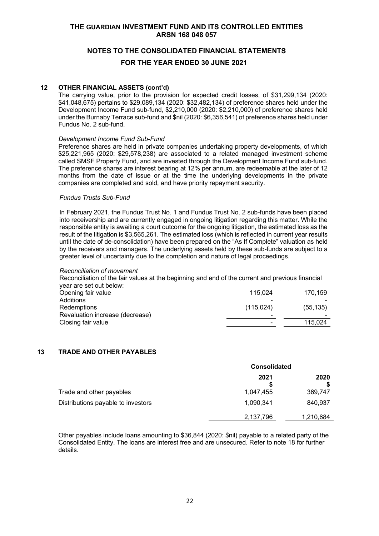# **NOTES TO THE CONSOLIDATED FINANCIAL STATEMENTS FOR THE YEAR ENDED 30 JUNE 2021**

### **12 OTHER FINANCIAL ASSETS (cont'd)**

The carrying value, prior to the provision for expected credit losses, of \$31,299,134 (2020: \$41,048,675) pertains to \$29,089,134 (2020: \$32,482,134) of preference shares held under the Development Income Fund sub-fund, \$2,210,000 (2020: \$2,210,000) of preference shares held under the Burnaby Terrace sub-fund and \$nil (2020: \$6,356,541) of preference shares held under Fundus No. 2 sub-fund.

### *Development Income Fund Sub-Fund*

Preference shares are held in private companies undertaking property developments, of which \$25,221,965 (2020: \$29,578,238) are associated to a related managed investment scheme called SMSF Property Fund, and are invested through the Development Income Fund sub-fund. The preference shares are interest bearing at 12% per annum, are redeemable at the later of 12 months from the date of issue or at the time the underlying developments in the private companies are completed and sold, and have priority repayment security.

### *Fundus Trusts Sub-Fund*

In February 2021, the Fundus Trust No. 1 and Fundus Trust No. 2 sub-funds have been placed into receivership and are currently engaged in ongoing litigation regarding this matter. While the responsible entity is awaiting a court outcome for the ongoing litigation, the estimated loss as the result of the litigation is \$3,565,261. The estimated loss (which is reflected in current year results until the date of de-consolidation) have been prepared on the "As If Complete" valuation as held by the receivers and managers. The underlying assets held by these sub-funds are subject to a greater level of uncertainty due to the completion and nature of legal proceedings.

*Reconciliation of movement* Reconciliation of the fair values at the beginning and end of the current and previous financial year are set out below: Opening fair value 115,024 170,159 Additions *-* - Redemptions (115,024) (55,135) **Revaluation increase (decrease)** Closing fair value  $\sim$  115.024

### **13 TRADE AND OTHER PAYABLES**

|                                    | <b>Consolidated</b> |           |
|------------------------------------|---------------------|-----------|
|                                    | 2021                | 2020      |
| Trade and other payables           | 1,047,455           | 369,747   |
| Distributions payable to investors | 1,090,341           | 840.937   |
|                                    | 2,137,796           | 1,210,684 |

Other payables include loans amounting to \$36,844 (2020: \$nil) payable to a related party of the Consolidated Entity. The loans are interest free and are unsecured. Refer to note 18 for further details.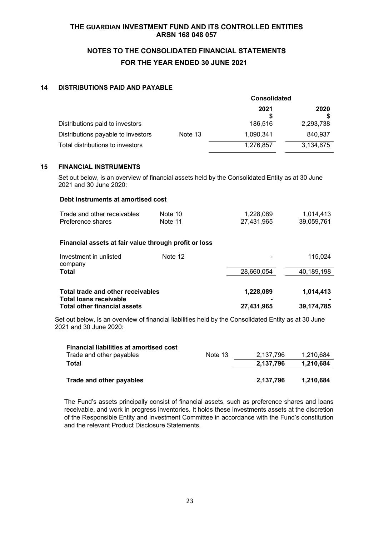# **NOTES TO THE CONSOLIDATED FINANCIAL STATEMENTS FOR THE YEAR ENDED 30 JUNE 2021**

# **14 DISTRIBUTIONS PAID AND PAYABLE**

|                                    |         | <b>Consolidated</b> |           |
|------------------------------------|---------|---------------------|-----------|
|                                    |         | 2021                | 2020      |
| Distributions paid to investors    |         | 186.516             | 2,293,738 |
| Distributions payable to investors | Note 13 | 1,090,341           | 840,937   |
| Total distributions to investors   |         | 1,276,857           | 3,134,675 |

## **15 FINANCIAL INSTRUMENTS**

Set out below, is an overview of financial assets held by the Consolidated Entity as at 30 June 2021 and 30 June 2020:

# **Debt instruments at amortised cost**

| Trade and other receivables | Note 10 | 1.228.089  | 1.014.413  |
|-----------------------------|---------|------------|------------|
| Preference shares           | Note 11 | 27,431,965 | 39.059.761 |

### **Financial assets at fair value through profit or loss**

| Investment in unlisted<br>company   | Note 12 |            | 115.024    |
|-------------------------------------|---------|------------|------------|
| <b>Total</b>                        |         | 28,660,054 | 40,189,198 |
|                                     |         |            |            |
| Total trade and other receivables   |         | 1,228,089  | 1.014.413  |
| <b>Total loans receivable</b>       |         |            |            |
| <b>Total other financial assets</b> |         | 27,431,965 | 39,174,785 |

Set out below, is an overview of financial liabilities held by the Consolidated Entity as at 30 June 2021 and 30 June 2020:

| <b>Financial liabilities at amortised cost</b> |         |           |           |
|------------------------------------------------|---------|-----------|-----------|
| Trade and other payables                       | Note 13 | 2,137,796 | 1,210,684 |
| Total                                          |         | 2.137.796 | 1,210,684 |
|                                                |         |           |           |
| Trade and other payables                       |         | 2.137.796 | 1.210.684 |
|                                                |         |           |           |

The Fund's assets principally consist of financial assets, such as preference shares and loans receivable, and work in progress inventories. It holds these investments assets at the discretion of the Responsible Entity and Investment Committee in accordance with the Fund's constitution and the relevant Product Disclosure Statements.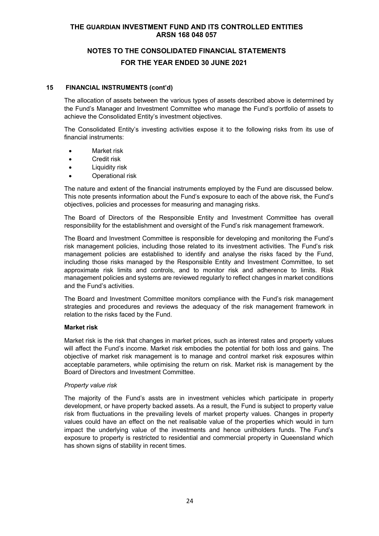# **NOTES TO THE CONSOLIDATED FINANCIAL STATEMENTS FOR THE YEAR ENDED 30 JUNE 2021**

## **15 FINANCIAL INSTRUMENTS (cont'd)**

The allocation of assets between the various types of assets described above is determined by the Fund's Manager and Investment Committee who manage the Fund's portfolio of assets to achieve the Consolidated Entity's investment objectives.

The Consolidated Entity's investing activities expose it to the following risks from its use of financial instruments:

- Market risk
- Credit risk
- Liquidity risk
- Operational risk

The nature and extent of the financial instruments employed by the Fund are discussed below. This note presents information about the Fund's exposure to each of the above risk, the Fund's objectives, policies and processes for measuring and managing risks.

The Board of Directors of the Responsible Entity and Investment Committee has overall responsibility for the establishment and oversight of the Fund's risk management framework.

The Board and Investment Committee is responsible for developing and monitoring the Fund's risk management policies, including those related to its investment activities. The Fund's risk management policies are established to identify and analyse the risks faced by the Fund, including those risks managed by the Responsible Entity and Investment Committee, to set approximate risk limits and controls, and to monitor risk and adherence to limits. Risk management policies and systems are reviewed regularly to reflect changes in market conditions and the Fund's activities.

The Board and Investment Committee monitors compliance with the Fund's risk management strategies and procedures and reviews the adequacy of the risk management framework in relation to the risks faced by the Fund.

## **Market risk**

Market risk is the risk that changes in market prices, such as interest rates and property values will affect the Fund's income. Market risk embodies the potential for both loss and gains. The objective of market risk management is to manage and control market risk exposures within acceptable parameters, while optimising the return on risk. Market risk is management by the Board of Directors and Investment Committee.

### *Property value risk*

The majority of the Fund's assts are in investment vehicles which participate in property development, or have property backed assets. As a result, the Fund is subject to property value risk from fluctuations in the prevailing levels of market property values. Changes in property values could have an effect on the net realisable value of the properties which would in turn impact the underlying value of the investments and hence unitholders funds. The Fund's exposure to property is restricted to residential and commercial property in Queensland which has shown signs of stability in recent times.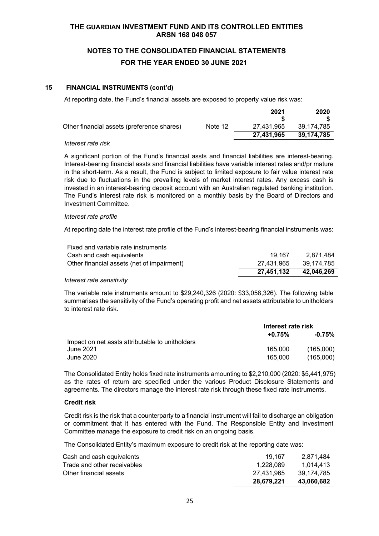# **NOTES TO THE CONSOLIDATED FINANCIAL STATEMENTS FOR THE YEAR ENDED 30 JUNE 2021**

## **15 FINANCIAL INSTRUMENTS (cont'd)**

At reporting date, the Fund's financial assets are exposed to property value risk was:

|                                            |         | 2021       | 2020       |
|--------------------------------------------|---------|------------|------------|
| Other financial assets (preference shares) | Note 12 | 27.431.965 | 39.174.785 |
|                                            |         | 27,431,965 | 39.174.785 |

## *Interest rate risk*

A significant portion of the Fund's financial assts and financial liabilities are interest-bearing. Interest-bearing financial assts and financial liabilities have variable interest rates and/pr mature in the short-term. As a result, the Fund is subject to limited exposure to fair value interest rate risk due to fluctuations in the prevailing levels of market interest rates. Any excess cash is invested in an interest-bearing deposit account with an Australian regulated banking institution. The Fund's interest rate risk is monitored on a monthly basis by the Board of Directors and Investment Committee.

### *Interest rate profile*

At reporting date the interest rate profile of the Fund's interest-bearing financial instruments was:

|                                            | 27.451.132 | 42.046.269 |
|--------------------------------------------|------------|------------|
| Other financial assets (net of impairment) | 27.431.965 | 39.174.785 |
| Cash and cash equivalents                  | 19.167     | 2.871.484  |
| Fixed and variable rate instruments        |            |            |

## *Interest rate sensitivity*

The variable rate instruments amount to \$29,240,326 (2020: \$33,058,326). The following table summarises the sensitivity of the Fund's operating profit and net assets attributable to unitholders to interest rate risk.

|                                                 | Interest rate risk |           |
|-------------------------------------------------|--------------------|-----------|
|                                                 | $+0.75%$           | $-0.75%$  |
| Impact on net assts attributable to unitholders |                    |           |
| June 2021                                       | 165.000            | (165,000) |
| June 2020                                       | 165.000            | (165,000) |

The Consolidated Entity holds fixed rate instruments amounting to \$2,210,000 (2020: \$5,441,975) as the rates of return are specified under the various Product Disclosure Statements and agreements. The directors manage the interest rate risk through these fixed rate instruments.

## **Credit risk**

Credit risk is the risk that a counterparty to a financial instrument will fail to discharge an obligation or commitment that it has entered with the Fund. The Responsible Entity and Investment Committee manage the exposure to credit risk on an ongoing basis.

The Consolidated Entity's maximum exposure to credit risk at the reporting date was:

|                             | 28.679.221 | 43.060.682 |
|-----------------------------|------------|------------|
| Other financial assets      | 27.431.965 | 39.174.785 |
| Trade and other receivables | 1.228.089  | 1.014.413  |
| Cash and cash equivalents   | 19.167     | 2.871.484  |
|                             |            |            |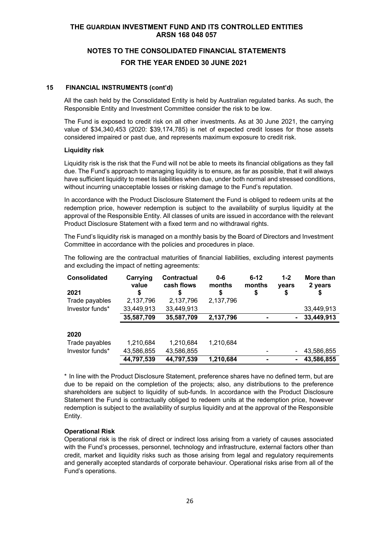# **NOTES TO THE CONSOLIDATED FINANCIAL STATEMENTS FOR THE YEAR ENDED 30 JUNE 2021**

## **15 FINANCIAL INSTRUMENTS (cont'd)**

All the cash held by the Consolidated Entity is held by Australian regulated banks. As such, the Responsible Entity and Investment Committee consider the risk to be low.

The Fund is exposed to credit risk on all other investments. As at 30 June 2021, the carrying value of \$34,340,453 (2020: \$39,174,785) is net of expected credit losses for those assets considered impaired or past due, and represents maximum exposure to credit risk.

## **Liquidity risk**

Liquidity risk is the risk that the Fund will not be able to meets its financial obligations as they fall due. The Fund's approach to managing liquidity is to ensure, as far as possible, that it will always have sufficient liquidity to meet its liabilities when due, under both normal and stressed conditions, without incurring unacceptable losses or risking damage to the Fund's reputation.

In accordance with the Product Disclosure Statement the Fund is obliged to redeem units at the redemption price, however redemption is subject to the availability of surplus liquidity at the approval of the Responsible Entity. All classes of units are issued in accordance with the relevant Product Disclosure Statement with a fixed term and no withdrawal rights.

The Fund's liquidity risk is managed on a monthly basis by the Board of Directors and Investment Committee in accordance with the policies and procedures in place.

The following are the contractual maturities of financial liabilities, excluding interest payments and excluding the impact of netting agreements:

| <b>Consolidated</b> | Carrying<br>value | <b>Contractual</b><br>cash flows | $0 - 6$<br>months | $6 - 12$<br>months | $1 - 2$<br>vears | More than<br>2 years |
|---------------------|-------------------|----------------------------------|-------------------|--------------------|------------------|----------------------|
| 2021                |                   |                                  | \$                | S                  | \$               | \$                   |
| Trade payables      | 2,137,796         | 2,137,796                        | 2,137,796         |                    |                  |                      |
| Investor funds*     | 33,449,913        | 33,449,913                       |                   |                    |                  | 33,449,913           |
|                     | 35,587,709        | 35,587,709                       | 2,137,796         |                    |                  | 33,449,913           |
|                     |                   |                                  |                   |                    |                  |                      |
| 2020                |                   |                                  |                   |                    |                  |                      |
| Trade payables      | 1,210,684         | 1,210,684                        | 1,210,684         |                    |                  |                      |
| Investor funds*     | 43,586,855        | 43,586,855                       |                   |                    |                  | 43,586,855           |
|                     | 44,797,539        | 44,797,539                       | 1,210,684         |                    | ٠                | 43,586,855           |

\* In line with the Product Disclosure Statement, preference shares have no defined term, but are due to be repaid on the completion of the projects; also, any distributions to the preference shareholders are subject to liquidity of sub-funds. In accordance with the Product Disclosure Statement the Fund is contractually obliged to redeem units at the redemption price, however redemption is subject to the availability of surplus liquidity and at the approval of the Responsible Entity.

## **Operational Risk**

Operational risk is the risk of direct or indirect loss arising from a variety of causes associated with the Fund's processes, personnel, technology and infrastructure, external factors other than credit, market and liquidity risks such as those arising from legal and regulatory requirements and generally accepted standards of corporate behaviour. Operational risks arise from all of the Fund's operations.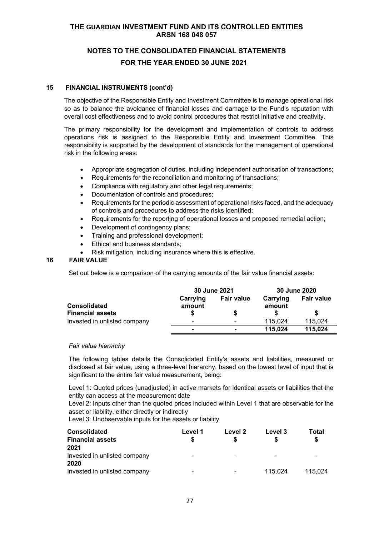# **NOTES TO THE CONSOLIDATED FINANCIAL STATEMENTS FOR THE YEAR ENDED 30 JUNE 2021**

## **15 FINANCIAL INSTRUMENTS (cont'd)**

The objective of the Responsible Entity and Investment Committee is to manage operational risk so as to balance the avoidance of financial losses and damage to the Fund's reputation with overall cost effectiveness and to avoid control procedures that restrict initiative and creativity.

The primary responsibility for the development and implementation of controls to address operations risk is assigned to the Responsible Entity and Investment Committee. This responsibility is supported by the development of standards for the management of operational risk in the following areas:

- Appropriate segregation of duties, including independent authorisation of transactions;
- Requirements for the reconciliation and monitoring of transactions;
- Compliance with regulatory and other legal requirements;
- Documentation of controls and procedures;
- Requirements for the periodic assessment of operational risks faced, and the adequacy of controls and procedures to address the risks identified;
- Requirements for the reporting of operational losses and proposed remedial action;
- Development of contingency plans;
- Training and professional development;
- Ethical and business standards;
- Risk mitigation, including insurance where this is effective.

## **16 FAIR VALUE**

Set out below is a comparison of the carrying amounts of the fair value financial assets:

|                              |                    | 30 June 2021             |                    | 30 June 2020      |
|------------------------------|--------------------|--------------------------|--------------------|-------------------|
| <b>Consolidated</b>          | Carrying<br>amount | <b>Fair value</b>        | Carrying<br>amount | <b>Fair value</b> |
| <b>Financial assets</b>      |                    |                          |                    |                   |
| Invested in unlisted company | $\blacksquare$     | $\overline{\phantom{a}}$ | 115.024            | 115,024           |
|                              | $\blacksquare$     |                          | 115,024            | 115,024           |

### *Fair value hierarchy*

The following tables details the Consolidated Entity's assets and liabilities, measured or disclosed at fair value, using a three-level hierarchy, based on the lowest level of input that is significant to the entire fair value measurement, being:

Level 1: Quoted prices (unadjusted) in active markets for identical assets or liabilities that the entity can access at the measurement date

Level 2: Inputs other than the quoted prices included within Level 1 that are observable for the asset or liability, either directly or indirectly

Level 3: Unobservable inputs for the assets or liability

| <b>Consolidated</b><br><b>Financial assets</b><br>2021 | Level 1                  | Level 2 | Level 3 | Total   |
|--------------------------------------------------------|--------------------------|---------|---------|---------|
| Invested in unlisted company<br>2020                   | $\overline{\phantom{0}}$ |         |         |         |
| Invested in unlisted company                           | $\overline{\phantom{0}}$ |         | 115.024 | 115.024 |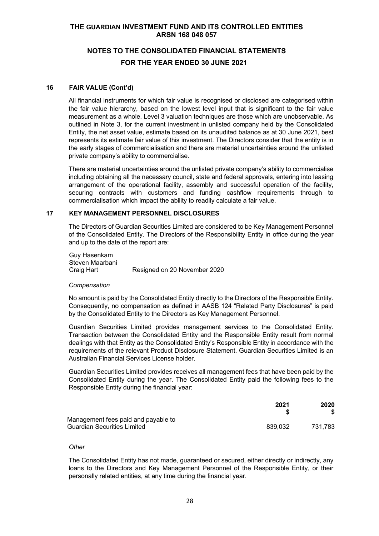# **NOTES TO THE CONSOLIDATED FINANCIAL STATEMENTS FOR THE YEAR ENDED 30 JUNE 2021**

## **16 FAIR VALUE (Cont'd)**

All financial instruments for which fair value is recognised or disclosed are categorised within the fair value hierarchy, based on the lowest level input that is significant to the fair value measurement as a whole. Level 3 valuation techniques are those which are unobservable. As outlined in Note 3, for the current investment in unlisted company held by the Consolidated Entity, the net asset value, estimate based on its unaudited balance as at 30 June 2021, best represents its estimate fair value of this investment. The Directors consider that the entity is in the early stages of commercialisation and there are material uncertainties around the unlisted private company's ability to commercialise.

There are material uncertainties around the unlisted private company's ability to commercialise including obtaining all the necessary council, state and federal approvals, entering into leasing arrangement of the operational facility, assembly and successful operation of the facility, securing contracts with customers and funding cashflow requirements through to commercialisation which impact the ability to readily calculate a fair value.

### **17 KEY MANAGEMENT PERSONNEL DISCLOSURES**

The Directors of Guardian Securities Limited are considered to be Key Management Personnel of the Consolidated Entity. The Directors of the Responsibility Entity in office during the year and up to the date of the report are:

Guy Hasenkam Steven Maarbani Craig Hart Resigned on 20 November 2020

### *Compensation*

No amount is paid by the Consolidated Entity directly to the Directors of the Responsible Entity. Consequently, no compensation as defined in AASB 124 "Related Party Disclosures" is paid by the Consolidated Entity to the Directors as Key Management Personnel.

Guardian Securities Limited provides management services to the Consolidated Entity. Transaction between the Consolidated Entity and the Responsible Entity result from normal dealings with that Entity as the Consolidated Entity's Responsible Entity in accordance with the requirements of the relevant Product Disclosure Statement. Guardian Securities Limited is an Australian Financial Services License holder.

Guardian Securities Limited provides receives all management fees that have been paid by the Consolidated Entity during the year. The Consolidated Entity paid the following fees to the Responsible Entity during the financial year:

|                                     | 2021    | 2020    |
|-------------------------------------|---------|---------|
| Management fees paid and payable to |         |         |
| Guardian Securities Limited         | 839.032 | 731.783 |

### *Other*

The Consolidated Entity has not made, guaranteed or secured, either directly or indirectly, any loans to the Directors and Key Management Personnel of the Responsible Entity, or their personally related entities, at any time during the financial year.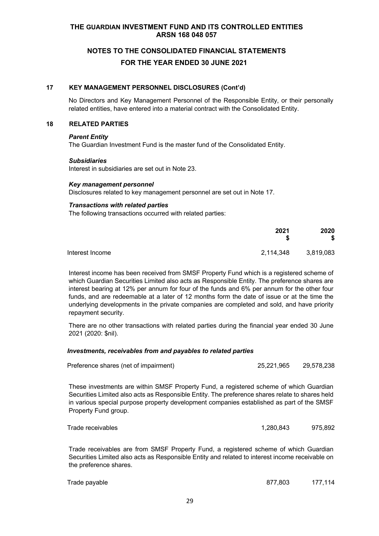# **NOTES TO THE CONSOLIDATED FINANCIAL STATEMENTS FOR THE YEAR ENDED 30 JUNE 2021**

## **17 KEY MANAGEMENT PERSONNEL DISCLOSURES (Cont'd)**

No Directors and Key Management Personnel of the Responsible Entity, or their personally related entities, have entered into a material contract with the Consolidated Entity.

### **18 RELATED PARTIES**

### *Parent Entity*

The Guardian Investment Fund is the master fund of the Consolidated Entity.

### *Subsidiaries*

Interest in subsidiaries are set out in Note 23.

### *Key management personnel*

Disclosures related to key management personnel are set out in Note 17.

### *Transactions with related parties*

The following transactions occurred with related parties:

|                 | 2021<br>\$ | 2020<br>\$ |
|-----------------|------------|------------|
| Interest Income | 2,114,348  | 3,819,083  |

Interest income has been received from SMSF Property Fund which is a registered scheme of which Guardian Securities Limited also acts as Responsible Entity. The preference shares are interest bearing at 12% per annum for four of the funds and 6% per annum for the other four funds, and are redeemable at a later of 12 months form the date of issue or at the time the underlying developments in the private companies are completed and sold, and have priority repayment security.

There are no other transactions with related parties during the financial year ended 30 June 2021 (2020: \$nil).

## *Investments, receivables from and payables to related parties*

| Preference shares (net of impairment) | 25,221,965 | 29,578,238 |
|---------------------------------------|------------|------------|
|---------------------------------------|------------|------------|

These investments are within SMSF Property Fund, a registered scheme of which Guardian Securities Limited also acts as Responsible Entity. The preference shares relate to shares held in various special purpose property development companies established as part of the SMSF Property Fund group.

| Trade receivables | 1,280,843 | 975,892 |
|-------------------|-----------|---------|
|                   |           |         |

Trade receivables are from SMSF Property Fund, a registered scheme of which Guardian Securities Limited also acts as Responsible Entity and related to interest income receivable on the preference shares.

| 177,114 |         |
|---------|---------|
|         | 877,803 |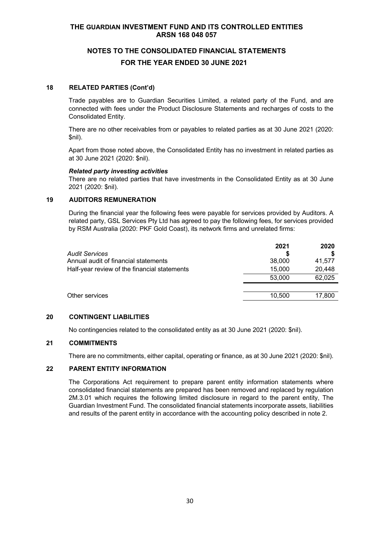# **NOTES TO THE CONSOLIDATED FINANCIAL STATEMENTS FOR THE YEAR ENDED 30 JUNE 2021**

## **18 RELATED PARTIES (Cont'd)**

Trade payables are to Guardian Securities Limited, a related party of the Fund, and are connected with fees under the Product Disclosure Statements and recharges of costs to the Consolidated Entity.

There are no other receivables from or payables to related parties as at 30 June 2021 (2020: \$nil).

Apart from those noted above, the Consolidated Entity has no investment in related parties as at 30 June 2021 (2020: \$nil).

### *Related party investing activities*

There are no related parties that have investments in the Consolidated Entity as at 30 June 2021 (2020: \$nil).

### **19 AUDITORS REMUNERATION**

During the financial year the following fees were payable for services provided by Auditors. A related party, GSL Services Pty Ltd has agreed to pay the following fees, for services provided by RSM Australia (2020: PKF Gold Coast), its network firms and unrelated firms:

|                                              | 2021   | 2020   |
|----------------------------------------------|--------|--------|
| Audit Services                               |        |        |
| Annual audit of financial statements         | 38,000 | 41.577 |
| Half-year review of the financial statements | 15,000 | 20.448 |
|                                              | 53,000 | 62,025 |
|                                              |        |        |
| Other services                               | 10,500 | 17,800 |
|                                              |        |        |

# **20 CONTINGENT LIABILITIES**

No contingencies related to the consolidated entity as at 30 June 2021 (2020: \$nil).

### **21 COMMITMENTS**

There are no commitments, either capital, operating or finance, as at 30 June 2021 (2020: \$nil).

## **22 PARENT ENTITY INFORMATION**

The Corporations Act requirement to prepare parent entity information statements where consolidated financial statements are prepared has been removed and replaced by regulation 2M.3.01 which requires the following limited disclosure in regard to the parent entity, The Guardian Investment Fund. The consolidated financial statements incorporate assets, liabilities and results of the parent entity in accordance with the accounting policy described in note 2.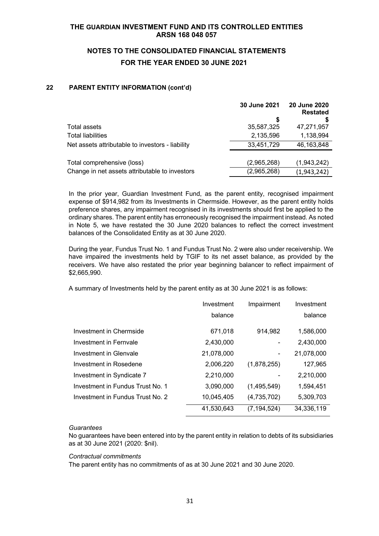# **NOTES TO THE CONSOLIDATED FINANCIAL STATEMENTS FOR THE YEAR ENDED 30 JUNE 2021**

## **22 PARENT ENTITY INFORMATION (cont'd)**

|                                                  | 30 June 2021 | 20 June 2020<br><b>Restated</b> |
|--------------------------------------------------|--------------|---------------------------------|
|                                                  | S            |                                 |
| Total assets                                     | 35,587,325   | 47,271,957                      |
| <b>Total liabilities</b>                         | 2,135,596    | 1,138,994                       |
| Net assets attributable to investors - liability | 33,451,729   | 46,163,848                      |
|                                                  |              |                                 |
| Total comprehensive (loss)                       | (2,965,268)  | (1,943,242)                     |
| Change in net assets attributable to investors   | (2,965,268)  | (1,943,242)                     |

In the prior year, Guardian Investment Fund, as the parent entity, recognised impairment expense of \$914,982 from its Investments in Chermside. However, as the parent entity holds preference shares, any impairment recognised in its investments should first be applied to the ordinary shares. The parent entity has erroneously recognised the impairment instead. As noted in Note 5, we have restated the 30 June 2020 balances to reflect the correct investment balances of the Consolidated Entity as at 30 June 2020.

During the year, Fundus Trust No. 1 and Fundus Trust No. 2 were also under receivership. We have impaired the investments held by TGIF to its net asset balance, as provided by the receivers. We have also restated the prior year beginning balancer to reflect impairment of \$2,665,990.

A summary of Investments held by the parent entity as at 30 June 2021 is as follows:

|                                  | Investment | Impairment    | Investment |
|----------------------------------|------------|---------------|------------|
|                                  | balance    |               | balance    |
| Investment in Chermside          | 671,018    | 914,982       | 1,586,000  |
| Investment in Fernyale           | 2,430,000  | -             | 2,430,000  |
| Investment in Glenvale           | 21,078,000 | -             | 21,078,000 |
| Investment in Rosedene           | 2,006,220  | (1,878,255)   | 127,965    |
| Investment in Syndicate 7        | 2,210,000  |               | 2,210,000  |
| Investment in Fundus Trust No. 1 | 3,090,000  | (1,495,549)   | 1,594,451  |
| Investment in Fundus Trust No. 2 | 10,045,405 | (4,735,702)   | 5,309,703  |
|                                  | 41,530,643 | (7, 194, 524) | 34,336,119 |

### *Guarantees*

No guarantees have been entered into by the parent entity in relation to debts of its subsidiaries as at 30 June 2021 (2020: \$nil).

### *Contractual commitments*

The parent entity has no commitments of as at 30 June 2021 and 30 June 2020.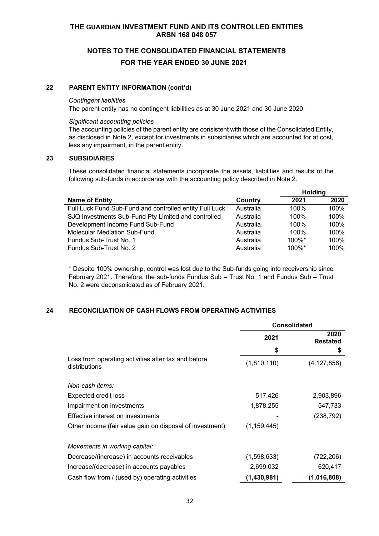# **NOTES TO THE CONSOLIDATED FINANCIAL STATEMENTS FOR THE YEAR ENDED 30 JUNE 2021**

### **22 PARENT ENTITY INFORMATION (cont'd)**

#### *Contingent liabilities*

The parent entity has no contingent liabilities as at 30 June 2021 and 30 June 2020.

### *Significant accounting policies*

The accounting policies of the parent entity are consistent with those of the Consolidated Entity, as disclosed in Note 2, except for investments in subsidiaries which are accounted for at cost, less any impairment, in the parent entity.

## **23 SUBSIDIARIES**

These consolidated financial statements incorporate the assets, liabilities and results of the following sub-funds in accordance with the accounting policy described in Note 2.

|                                                         |           |           | <b>Holding</b> |  |
|---------------------------------------------------------|-----------|-----------|----------------|--|
| Name of Entity                                          | Country   | 2021      | 2020           |  |
| Full Luck Fund Sub-Fund and controlled entity Full Luck | Australia | 100%      | 100%           |  |
| SJQ Investments Sub-Fund Pty Limited and controlled     | Australia | 100%      | 100%           |  |
| Development Income Fund Sub-Fund                        | Australia | 100%      | 100%           |  |
| Molecular Mediation Sub-Fund                            | Australia | $100\%$   | 100%           |  |
| Fundus Sub-Trust No. 1                                  | Australia | $100\%$ * | 100%           |  |
| Fundus Sub-Trust No. 2                                  | Australia | $100\%$ * | 100%           |  |

\* Despite 100% ownership, control was lost due to the Sub-funds going into receivership since February 2021. Therefore, the sub-funds Fundus Sub – Trust No. 1 and Fundus Sub – Trust No. 2 were deconsolidated as of February 2021.

# **24 RECONCILIATION OF CASH FLOWS FROM OPERATING ACTIVITIES**

|                                                                      | <b>Consolidated</b> |                         |  |
|----------------------------------------------------------------------|---------------------|-------------------------|--|
|                                                                      | 2021                | 2020<br><b>Restated</b> |  |
|                                                                      | \$                  | \$                      |  |
| Loss from operating activities after tax and before<br>distributions | (1,810,110)         | (4, 127, 856)           |  |
| Non-cash items:                                                      |                     |                         |  |
| Expected credit loss                                                 | 517,426             | 2,903,896               |  |
| Impairment on investments                                            | 1,878,255           | 547,733                 |  |
| Effective interest on investments                                    |                     | (238, 792)              |  |
| Other income (fair value gain on disposal of investment)             | (1, 159, 445)       |                         |  |
| Movements in working capital:                                        |                     |                         |  |
| Decrease/(increase) in accounts receivables                          | (1,598,633)         | (722, 206)              |  |
| Increase/(decrease) in accounts payables                             | 2,699,032           | 620,417                 |  |
| Cash flow from / (used by) operating activities                      | (1,430,981)         | (1,016,808)             |  |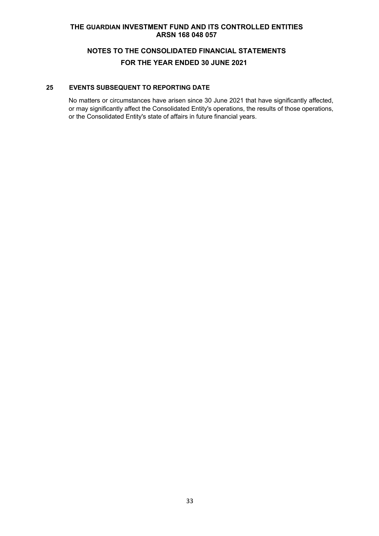# **NOTES TO THE CONSOLIDATED FINANCIAL STATEMENTS FOR THE YEAR ENDED 30 JUNE 2021**

## **25 EVENTS SUBSEQUENT TO REPORTING DATE**

No matters or circumstances have arisen since 30 June 2021 that have significantly affected, or may significantly affect the Consolidated Entity's operations, the results of those operations, or the Consolidated Entity's state of affairs in future financial years.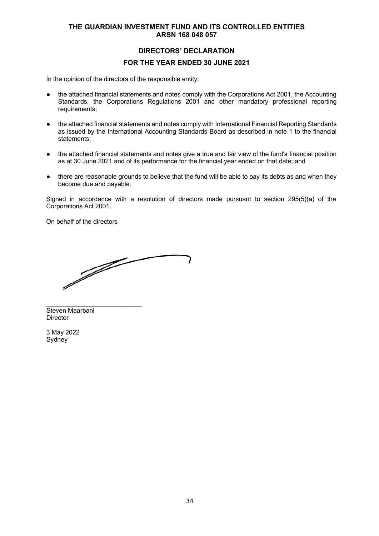# **DIRECTORS' DECLARATION FOR THE YEAR ENDED 30 JUNE 2021**

In the opinion of the directors of the responsible entity:

- the attached financial statements and notes comply with the Corporations Act 2001, the Accounting Standards, the Corporations Regulations 2001 and other mandatory professional reporting requirements;
- the attached financial statements and notes comply with International Financial Reporting Standards as issued by the International Accounting Standards Board as described in note 1 to the financial statements;
- the attached financial statements and notes give a true and fair view of the fund's financial position as at 30 June 2021 and of its performance for the financial year ended on that date; and
- there are reasonable grounds to believe that the fund will be able to pay its debts as and when they become due and payable.

Signed in accordance with a resolution of directors made pursuant to section 295(5)(a) of the Corporations Act 2001.

On behalf of the directors

F

 $\mathcal{L}_\text{max}$  , where  $\mathcal{L}_\text{max}$  and  $\mathcal{L}_\text{max}$  and  $\mathcal{L}_\text{max}$ Steven Maarbani **Director** 

3 May 2022 **Sydney**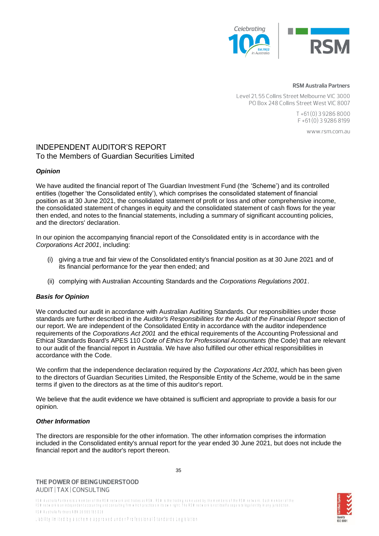

#### **RSM Australia Partners**

Level 21, 55 Collins Street Melbourne VIC 3000 PO Box 248 Collins Street West VIC 8007

> $T + 61(0)$  3 9286 8000  $F + 61(0)$  3 9286 8199

> > www.rsm.com.au

# INDEPENDENT AUDITOR'S REPORT To the Members of Guardian Securities Limited

### *Opinion*

We have audited the financial report of The Guardian Investment Fund (the 'Scheme') and its controlled entities (together 'the Consolidated entity'), which comprises the consolidated statement of financial position as at 30 June 2021, the consolidated statement of profit or loss and other comprehensive income, the consolidated statement of changes in equity and the consolidated statement of cash flows for the year then ended, and notes to the financial statements, including a summary of significant accounting policies, and the directors' declaration.

In our opinion the accompanying financial report of the Consolidated entity is in accordance with the *Corporations Act 2001*, including:

- (i) giving a true and fair view of the Consolidated entity's financial position as at 30 June 2021 and of its financial performance for the year then ended; and
- (ii) complying with Australian Accounting Standards and the *Corporations Regulations 2001*.

### *Basis for Opinion*

We conducted our audit in accordance with Australian Auditing Standards. Our responsibilities under those standards are further described in the *Auditor's Responsibilities for the Audit of the Financial Report* section of our report. We are independent of the Consolidated Entity in accordance with the auditor independence requirements of the *Corporations Act 2001* and the ethical requirements of the Accounting Professional and Ethical Standards Board's APES 110 *Code of Ethics for Professional Accountants* (the Code) that are relevant to our audit of the financial report in Australia. We have also fulfilled our other ethical responsibilities in accordance with the Code.

We confirm that the independence declaration required by the *Corporations Act 2001*, which has been given to the directors of Guardian Securities Limited, the Responsible Entity of the Scheme, would be in the same terms if given to the directors as at the time of this auditor's report.

We believe that the audit evidence we have obtained is sufficient and appropriate to provide a basis for our opinion.

### *Other Information*

The directors are responsible for the other information. The other information comprises the information included in the Consolidated entity's annual report for the year ended 30 June 2021, but does not include the financial report and the auditor's report thereon.

## THE POWER OF BEING UNDERSTOOD AUDIT | TAX | CONSULTING

RSK Aistralie Partners is a member of the RSK network and trades as RSK. RSK is the trading name used by the member effective RSK network. Each member of the<br>RSK network is an independent accounting and consilting firm whi RS M. Australia Partners ABN 36 965 185 036